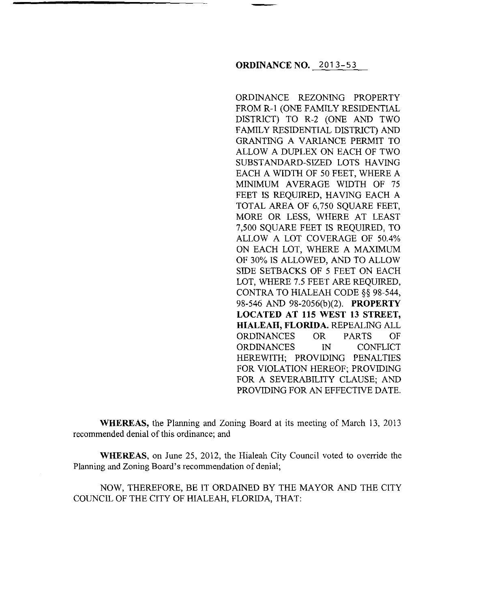## **ORDINANCE NO.** 2013-53

ORDINANCE REZONING PROPERTY FROM R-1 (ONE FAMILY RESIDENTIAL DISTRICT) TO R-2 (ONE AND TWO FAMILY RESIDENTIAL DISTRICT) AND GRANTING A VARIANCE PERMIT TO ALLOW A DUPLEX ON EACH OF TWO SUBSTANDARD-SIZED LOTS HAVING EACH A WIDTH OF 50 FEET, WHERE A MINIMUM AVERAGE WIDTH OF 75 FEET IS REQUIRED, HAVING EACH A TOTAL AREA OF 6,750 SQUARE FEET, MORE OR LESS, WHERE AT LEAST 7,500 SQUARE FEET IS REQUIRED, TO ALLOW A LOT COVERAGE OF 50.4% ON EACH LOT, WHERE A MAXIMUM OF 30% IS ALLOWED, AND TO ALLOW SIDE SETBACKS OF 5 FEET ON EACH LOT, WHERE 7.5 FEET ARE REQUIRED, CONTRA TO HIALEAH CODE §§ 98-544, 98-546 AND 98-2056(b)(2). **PROPERTY LOCATED AT 115 WEST 13 STREET, HIALEAH, FLORIDA.** REPEALING ALL ORDINANCES OR PARTS OF ORDINANCES IN CONFLICT HEREWITH; PROVIDING PENALTIES FOR VIOLATION HEREOF; PROVIDING FOR A SEVERABILITY CLAUSE; AND PROVIDING FOR AN EFFECTNE DATE.

**WHEREAS,** the Planning and Zoning Board at its meeting of March 13, 2013 recommended denial of this ordinance; and

**WHEREAS,** on June 25, 2012, the Hialeah City Council voted to override the Planning and Zoning Board's recommendation of denial;

NOW, THEREFORE, BE IT ORDAINED BY THE MAYOR AND THE CITY COUNCIL OF THE CITY OF HIALEAH, FLORIDA, THAT: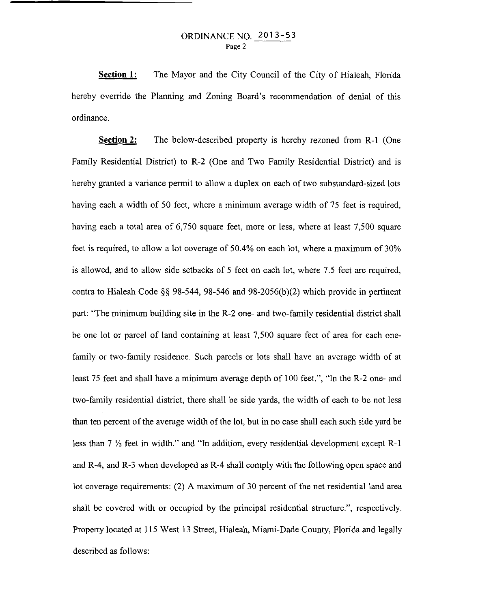**Section 1:**  The Mayor and the City Council of the City of Hialeah, Florida hereby override the Planning and Zoning Board's recommendation of denial of this ordinance.

**Section 2:** The below-described property is hereby rezoned from R-1 (One Family Residential District) to R-2 (One and Two Family Residential District) and is hereby granted a variance permit to allow a duplex on each of two substandard-sized lots having each a width of 50 feet, where a minimum average width of 75 feet is required, having each a total area of 6,750 square feet, more or less, where at least 7,500 square feet is required, to allow a lot coverage of 50.4% on each lot, where a maximum of 30% is allowed, and to allow side setbacks of 5 feet on each lot, where 7.5 feet are required, contra to Hialeah Code§§ 98-544, 98-546 and 98-2056(b)(2) which provide in pertinent part: "The minimum building site in the R-2 one- and two-family residential district shall be one lot or parcel of land containing at least 7,500 square feet of area for each onefamily or two-family residence. Such parcels or lots shall have an average width of at least 75 feet and shall have a minimum average depth of 100 feet.", "In the R-2 one- and two-family residential district, there shall be side yards, the width of each to be not less than ten percent of the average width of the lot, but in no case shall each such side yard be less than 7 *Yz* feet in width." and "In addition, every residential development except R-1 and R-4, and R-3 when developed as R-4 shall comply with the following open space and lot coverage requirements: (2) A maximum of 30 percent of the net residential land area shall be covered with or occupied by the principal residential structure.", respectively. Property located at 115 West 13 Street, Hialeah, Miami-Dade County, Florida and legally described as follows: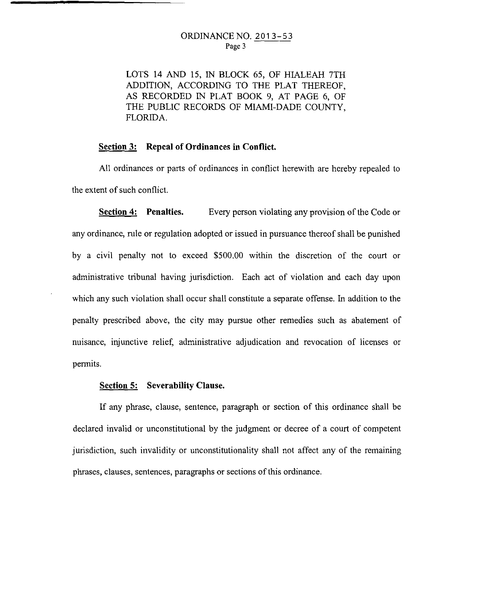LOTS 14 AND 15, IN BLOCK 65, OF HIALEAH 7TH ADDITION, ACCORDING TO THE PLAT THEREOF, AS RECORDED IN PLAT BOOK 9, AT PAGE 6, OF THE PUBLIC RECORDS OF MIAMI-DADE COUNTY, FLORIDA.

## **Section 3: Repeal of Ordinances in Conflict.**

All ordinances or parts of ordinances in conflict herewith are hereby repealed to the extent of such conflict.

**Section 4:** Penalties. Every person violating any provision of the Code or any ordinance, rule or regulation adopted or issued in pursuance thereof shall be punished by a civil penalty not to exceed \$500.00 within the discretion of the court or administrative tribunal having jurisdiction. Each act of violation and each day upon which any such violation shall occur shall constitute a separate offense. In addition to the penalty prescribed above, the city may pursue other remedies such as abatement of nuisance, injunctive relief, administrative adjudication and revocation of licenses or permits.

## **Section 5: Severability Clanse.**

If any phrase, clause, sentence, paragraph or section of this ordinance shall be declared invalid or unconstitutional by the judgment or decree of a court of competent jurisdiction, such invalidity or unconstitutionality shall not affect any of the remaining phrases, clauses, sentences, paragraphs or sections of this ordinance.